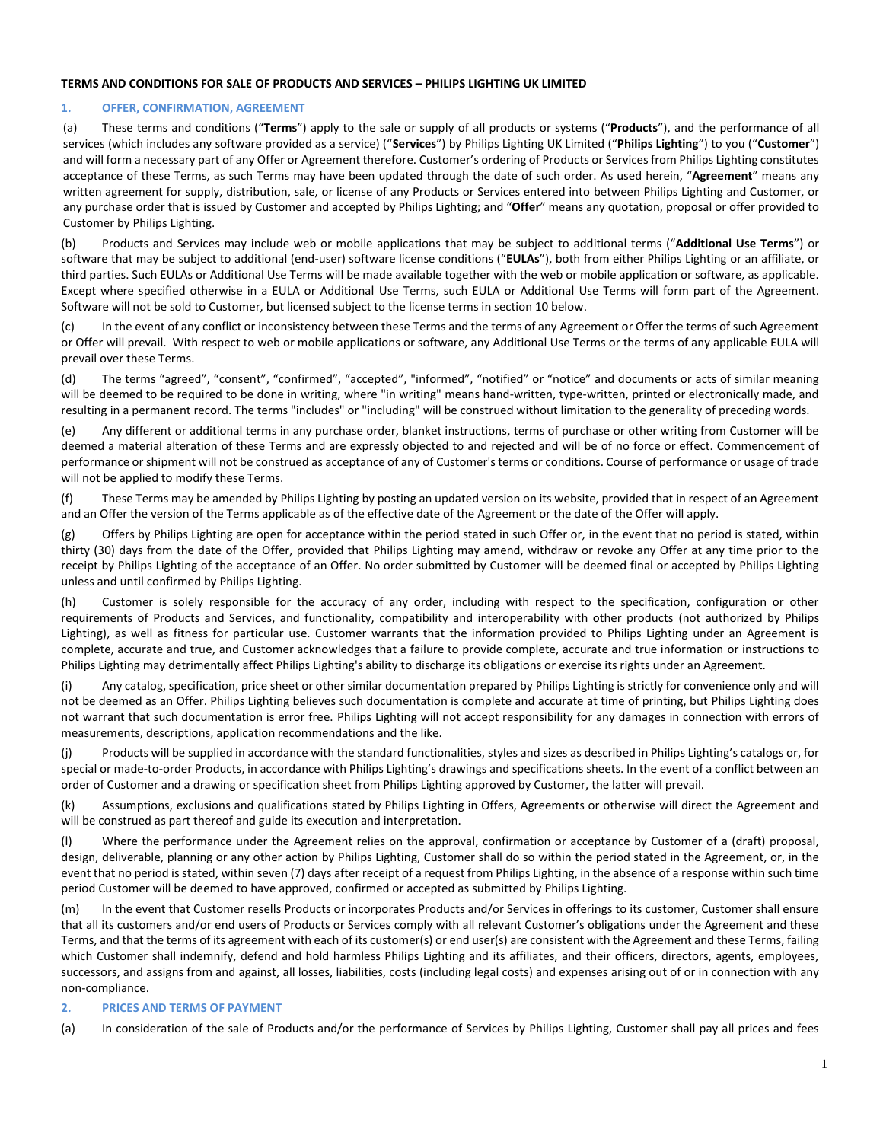## **TERMS AND CONDITIONS FOR SALE OF PRODUCTS AND SERVICES – PHILIPS LIGHTING UK LIMITED**

## **1. OFFER, CONFIRMATION, AGREEMENT**

(a) These terms and conditions ("**Terms**") apply to the sale or supply of all products or systems ("**Products**"), and the performance of all services (which includes any software provided as a service) ("**Services**") by Philips Lighting UK Limited ("**Philips Lighting**") to you ("**Customer**") and will form a necessary part of any Offer or Agreement therefore. Customer's ordering of Products or Services from Philips Lighting constitutes acceptance of these Terms, as such Terms may have been updated through the date of such order. As used herein, "**Agreement**" means any written agreement for supply, distribution, sale, or license of any Products or Services entered into between Philips Lighting and Customer, or any purchase order that is issued by Customer and accepted by Philips Lighting; and "**Offer**" means any quotation, proposal or offer provided to Customer by Philips Lighting.

(b) Products and Services may include web or mobile applications that may be subject to additional terms ("**Additional Use Terms**") or software that may be subject to additional (end-user) software license conditions ("**EULAs**"), both from either Philips Lighting or an affiliate, or third parties. Such EULAs or Additional Use Terms will be made available together with the web or mobile application or software, as applicable. Except where specified otherwise in a EULA or Additional Use Terms, such EULA or Additional Use Terms will form part of the Agreement. Software will not be sold to Customer, but licensed subject to the license terms in section 10 below.

(c) In the event of any conflict or inconsistency between these Terms and the terms of any Agreement or Offer the terms of such Agreement or Offer will prevail. With respect to web or mobile applications or software, any Additional Use Terms or the terms of any applicable EULA will prevail over these Terms.

(d) The terms "agreed", "consent", "confirmed", "accepted", "informed", "notified" or "notice" and documents or acts of similar meaning will be deemed to be required to be done in writing, where "in writing" means hand-written, type-written, printed or electronically made, and resulting in a permanent record. The terms "includes" or "including" will be construed without limitation to the generality of preceding words.

(e) Any different or additional terms in any purchase order, blanket instructions, terms of purchase or other writing from Customer will be deemed a material alteration of these Terms and are expressly objected to and rejected and will be of no force or effect. Commencement of performance or shipment will not be construed as acceptance of any of Customer's terms or conditions. Course of performance or usage of trade will not be applied to modify these Terms.

(f) These Terms may be amended by Philips Lighting by posting an updated version on its website, provided that in respect of an Agreement and an Offer the version of the Terms applicable as of the effective date of the Agreement or the date of the Offer will apply.

(g) Offers by Philips Lighting are open for acceptance within the period stated in such Offer or, in the event that no period is stated, within thirty (30) days from the date of the Offer, provided that Philips Lighting may amend, withdraw or revoke any Offer at any time prior to the receipt by Philips Lighting of the acceptance of an Offer. No order submitted by Customer will be deemed final or accepted by Philips Lighting unless and until confirmed by Philips Lighting.

(h) Customer is solely responsible for the accuracy of any order, including with respect to the specification, configuration or other requirements of Products and Services, and functionality, compatibility and interoperability with other products (not authorized by Philips Lighting), as well as fitness for particular use. Customer warrants that the information provided to Philips Lighting under an Agreement is complete, accurate and true, and Customer acknowledges that a failure to provide complete, accurate and true information or instructions to Philips Lighting may detrimentally affect Philips Lighting's ability to discharge its obligations or exercise its rights under an Agreement.

(i) Any catalog, specification, price sheet or other similar documentation prepared by Philips Lighting is strictly for convenience only and will not be deemed as an Offer. Philips Lighting believes such documentation is complete and accurate at time of printing, but Philips Lighting does not warrant that such documentation is error free. Philips Lighting will not accept responsibility for any damages in connection with errors of measurements, descriptions, application recommendations and the like.

(j) Products will be supplied in accordance with the standard functionalities, styles and sizes as described in Philips Lighting's catalogs or, for special or made-to-order Products, in accordance with Philips Lighting's drawings and specifications sheets. In the event of a conflict between an order of Customer and a drawing or specification sheet from Philips Lighting approved by Customer, the latter will prevail.

(k) Assumptions, exclusions and qualifications stated by Philips Lighting in Offers, Agreements or otherwise will direct the Agreement and will be construed as part thereof and guide its execution and interpretation.

(l) Where the performance under the Agreement relies on the approval, confirmation or acceptance by Customer of a (draft) proposal, design, deliverable, planning or any other action by Philips Lighting, Customer shall do so within the period stated in the Agreement, or, in the event that no period is stated, within seven (7) days after receipt of a request from Philips Lighting, in the absence of a response within such time period Customer will be deemed to have approved, confirmed or accepted as submitted by Philips Lighting.

(m) In the event that Customer resells Products or incorporates Products and/or Services in offerings to its customer, Customer shall ensure that all its customers and/or end users of Products or Services comply with all relevant Customer's obligations under the Agreement and these Terms, and that the terms of its agreement with each of its customer(s) or end user(s) are consistent with the Agreement and these Terms, failing which Customer shall indemnify, defend and hold harmless Philips Lighting and its affiliates, and their officers, directors, agents, employees, successors, and assigns from and against, all losses, liabilities, costs (including legal costs) and expenses arising out of or in connection with any non-compliance.

## <span id="page-0-0"></span>**2. PRICES AND TERMS OF PAYMENT**

(a) In consideration of the sale of Products and/or the performance of Services by Philips Lighting, Customer shall pay all prices and fees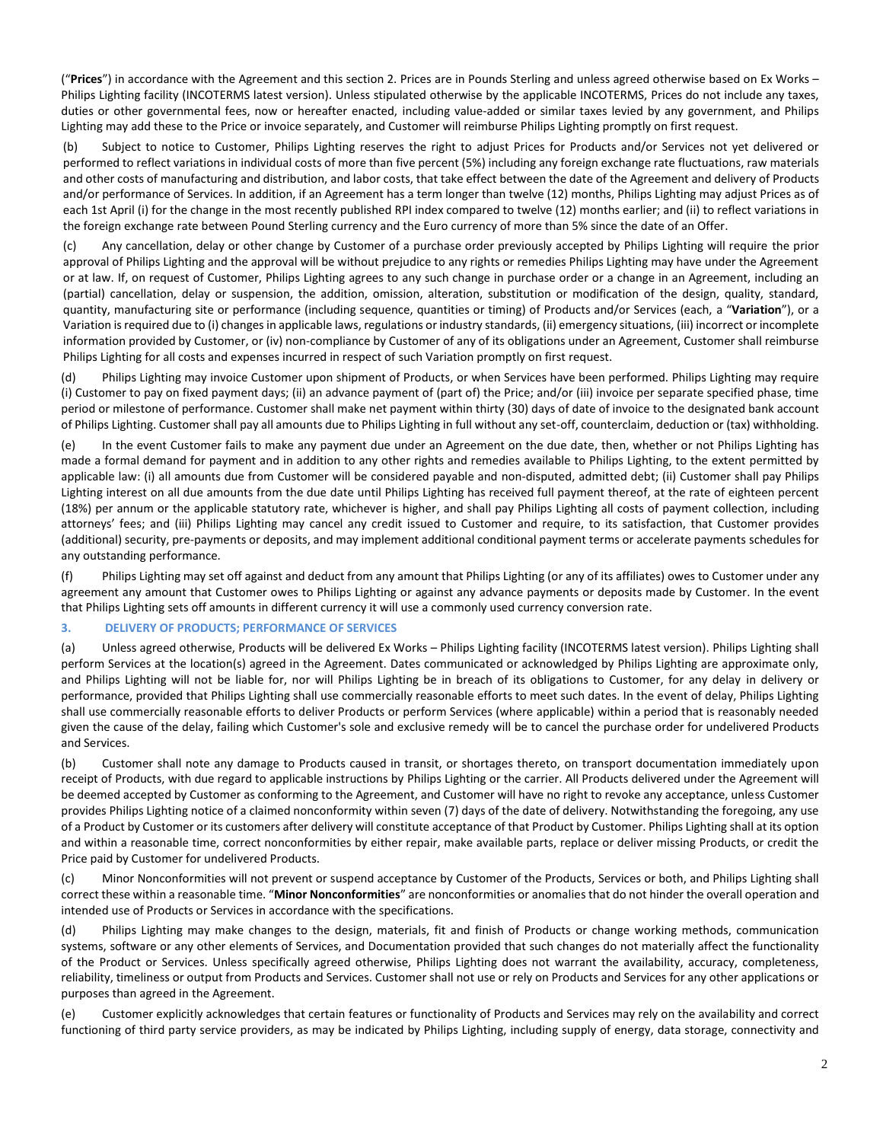("**Prices**") in accordance with the Agreement and this section 2. Prices are in Pounds Sterling and unless agreed otherwise based on Ex Works – Philips Lighting facility (INCOTERMS latest version). Unless stipulated otherwise by the applicable INCOTERMS, Prices do not include any taxes, duties or other governmental fees, now or hereafter enacted, including value-added or similar taxes levied by any government, and Philips Lighting may add these to the Price or invoice separately, and Customer will reimburse Philips Lighting promptly on first request.

(b) Subject to notice to Customer, Philips Lighting reserves the right to adjust Prices for Products and/or Services not yet delivered or performed to reflect variations in individual costs of more than five percent (5%) including any foreign exchange rate fluctuations, raw materials and other costs of manufacturing and distribution, and labor costs, that take effect between the date of the Agreement and delivery of Products and/or performance of Services. In addition, if an Agreement has a term longer than twelve (12) months, Philips Lighting may adjust Prices as of each 1st April (i) for the change in the most recently published RPI index compared to twelve (12) months earlier; and (ii) to reflect variations in the foreign exchange rate between Pound Sterling currency and the Euro currency of more than 5% since the date of an Offer.

<span id="page-1-0"></span>(c) Any cancellation, delay or other change by Customer of a purchase order previously accepted by Philips Lighting will require the prior approval of Philips Lighting and the approval will be without prejudice to any rights or remedies Philips Lighting may have under the Agreement or at law. If, on request of Customer, Philips Lighting agrees to any such change in purchase order or a change in an Agreement, including an (partial) cancellation, delay or suspension, the addition, omission, alteration, substitution or modification of the design, quality, standard, quantity, manufacturing site or performance (including sequence, quantities or timing) of Products and/or Services (each, a "**Variation**"), or a Variation is required due to (i) changes in applicable laws, regulations or industry standards, (ii) emergency situations, (iii) incorrect or incomplete information provided by Customer, or (iv) non-compliance by Customer of any of its obligations under an Agreement, Customer shall reimburse Philips Lighting for all costs and expenses incurred in respect of such Variation promptly on first request.

(d) Philips Lighting may invoice Customer upon shipment of Products, or when Services have been performed. Philips Lighting may require (i) Customer to pay on fixed payment days; (ii) an advance payment of (part of) the Price; and/or (iii) invoice per separate specified phase, time period or milestone of performance. Customer shall make net payment within thirty (30) days of date of invoice to the designated bank account of Philips Lighting. Customer shall pay all amounts due to Philips Lighting in full without any set-off, counterclaim, deduction or (tax) withholding.

(e) In the event Customer fails to make any payment due under an Agreement on the due date, then, whether or not Philips Lighting has made a formal demand for payment and in addition to any other rights and remedies available to Philips Lighting, to the extent permitted by applicable law: (i) all amounts due from Customer will be considered payable and non-disputed, admitted debt; (ii) Customer shall pay Philips Lighting interest on all due amounts from the due date until Philips Lighting has received full payment thereof, at the rate of eighteen percent (18%) per annum or the applicable statutory rate, whichever is higher, and shall pay Philips Lighting all costs of payment collection, including attorneys' fees; and (iii) Philips Lighting may cancel any credit issued to Customer and require, to its satisfaction, that Customer provides (additional) security, pre-payments or deposits, and may implement additional conditional payment terms or accelerate payments schedules for any outstanding performance.

(f) Philips Lighting may set off against and deduct from any amount that Philips Lighting (or any of its affiliates) owes to Customer under any agreement any amount that Customer owes to Philips Lighting or against any advance payments or deposits made by Customer. In the event that Philips Lighting sets off amounts in different currency it will use a commonly used currency conversion rate.

## **3. DELIVERY OF PRODUCTS; PERFORMANCE OF SERVICES**

(a) Unless agreed otherwise, Products will be delivered Ex Works – Philips Lighting facility (INCOTERMS latest version). Philips Lighting shall perform Services at the location(s) agreed in the Agreement. Dates communicated or acknowledged by Philips Lighting are approximate only, and Philips Lighting will not be liable for, nor will Philips Lighting be in breach of its obligations to Customer, for any delay in delivery or performance, provided that Philips Lighting shall use commercially reasonable efforts to meet such dates. In the event of delay, Philips Lighting shall use commercially reasonable efforts to deliver Products or perform Services (where applicable) within a period that is reasonably needed given the cause of the delay, failing which Customer's sole and exclusive remedy will be to cancel the purchase order for undelivered Products and Services.

(b) Customer shall note any damage to Products caused in transit, or shortages thereto, on transport documentation immediately upon receipt of Products, with due regard to applicable instructions by Philips Lighting or the carrier. All Products delivered under the Agreement will be deemed accepted by Customer as conforming to the Agreement, and Customer will have no right to revoke any acceptance, unless Customer provides Philips Lighting notice of a claimed nonconformity within seven (7) days of the date of delivery. Notwithstanding the foregoing, any use of a Product by Customer or its customers after delivery will constitute acceptance of that Product by Customer. Philips Lighting shall at its option and within a reasonable time, correct nonconformities by either repair, make available parts, replace or deliver missing Products, or credit the Price paid by Customer for undelivered Products.

(c) Minor Nonconformities will not prevent or suspend acceptance by Customer of the Products, Services or both, and Philips Lighting shall correct these within a reasonable time. "**Minor Nonconformities**" are nonconformities or anomalies that do not hinder the overall operation and intended use of Products or Services in accordance with the specifications.

(d) Philips Lighting may make changes to the design, materials, fit and finish of Products or change working methods, communication systems, software or any other elements of Services, and Documentation provided that such changes do not materially affect the functionality of the Product or Services. Unless specifically agreed otherwise, Philips Lighting does not warrant the availability, accuracy, completeness, reliability, timeliness or output from Products and Services. Customer shall not use or rely on Products and Services for any other applications or purposes than agreed in the Agreement.

(e) Customer explicitly acknowledges that certain features or functionality of Products and Services may rely on the availability and correct functioning of third party service providers, as may be indicated by Philips Lighting, including supply of energy, data storage, connectivity and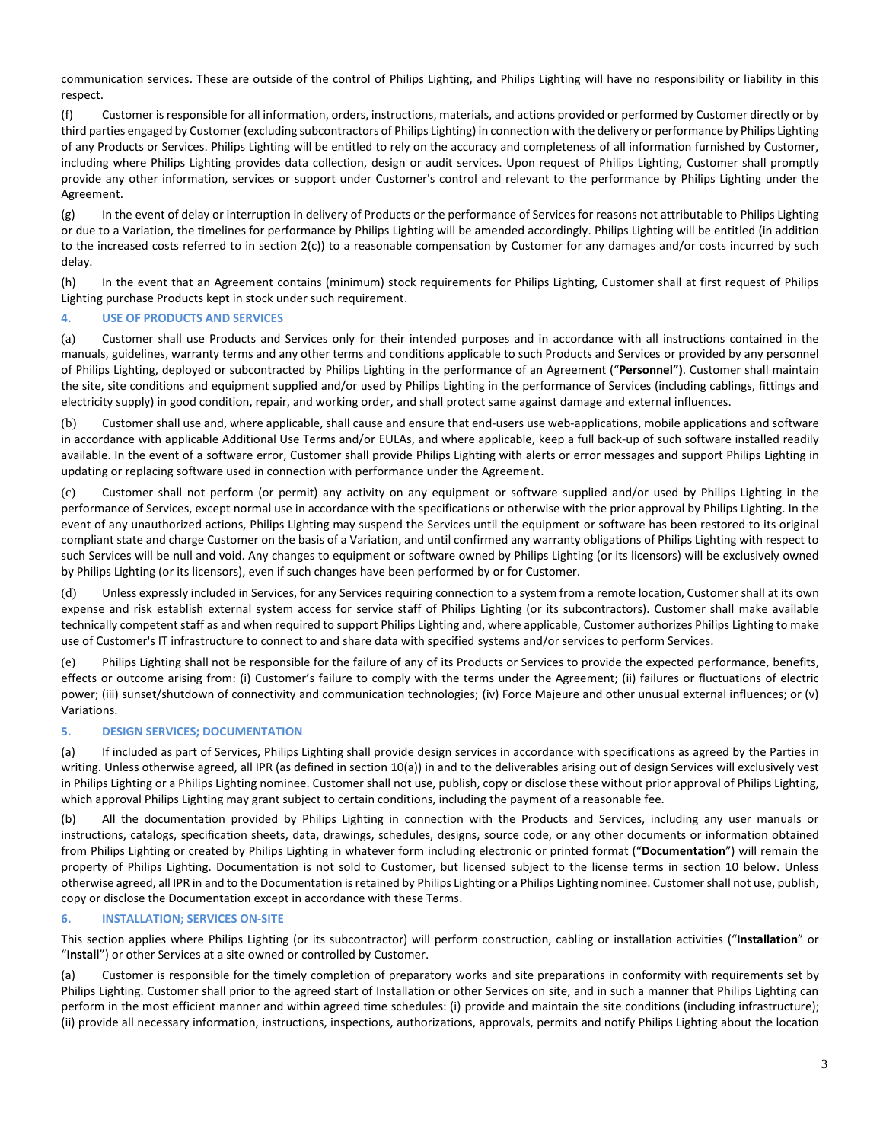communication services. These are outside of the control of Philips Lighting, and Philips Lighting will have no responsibility or liability in this respect.

(f) Customer is responsible for all information, orders, instructions, materials, and actions provided or performed by Customer directly or by third parties engaged by Customer (excluding subcontractors of Philips Lighting) in connection with the delivery or performance by Philips Lighting of any Products or Services. Philips Lighting will be entitled to rely on the accuracy and completeness of all information furnished by Customer, including where Philips Lighting provides data collection, design or audit services. Upon request of Philips Lighting, Customer shall promptly provide any other information, services or support under Customer's control and relevant to the performance by Philips Lighting under the Agreement.

(g) In the event of delay or interruption in delivery of Products or the performance of Services for reasons not attributable to Philips Lighting or due to a Variation, the timelines for performance by Philips Lighting will be amended accordingly. Philips Lighting will be entitled (in addition to the increased costs referred to in section [2](#page-0-0)[\(c\)\)](#page-1-0) to a reasonable compensation by Customer for any damages and/or costs incurred by such delay.

(h) In the event that an Agreement contains (minimum) stock requirements for Philips Lighting, Customer shall at first request of Philips Lighting purchase Products kept in stock under such requirement.

# **4. USE OF PRODUCTS AND SERVICES**

(a) Customer shall use Products and Services only for their intended purposes and in accordance with all instructions contained in the manuals, guidelines, warranty terms and any other terms and conditions applicable to such Products and Services or provided by any personnel of Philips Lighting, deployed or subcontracted by Philips Lighting in the performance of an Agreement ("**Personnel")**. Customer shall maintain the site, site conditions and equipment supplied and/or used by Philips Lighting in the performance of Services (including cablings, fittings and electricity supply) in good condition, repair, and working order, and shall protect same against damage and external influences.

(b) Customer shall use and, where applicable, shall cause and ensure that end-users use web-applications, mobile applications and software in accordance with applicable Additional Use Terms and/or EULAs, and where applicable, keep a full back-up of such software installed readily available. In the event of a software error, Customer shall provide Philips Lighting with alerts or error messages and support Philips Lighting in updating or replacing software used in connection with performance under the Agreement.

(c) Customer shall not perform (or permit) any activity on any equipment or software supplied and/or used by Philips Lighting in the performance of Services, except normal use in accordance with the specifications or otherwise with the prior approval by Philips Lighting. In the event of any unauthorized actions, Philips Lighting may suspend the Services until the equipment or software has been restored to its original compliant state and charge Customer on the basis of a Variation, and until confirmed any warranty obligations of Philips Lighting with respect to such Services will be null and void. Any changes to equipment or software owned by Philips Lighting (or its licensors) will be exclusively owned by Philips Lighting (or its licensors), even if such changes have been performed by or for Customer.

(d) Unless expressly included in Services, for any Services requiring connection to a system from a remote location, Customer shall at its own expense and risk establish external system access for service staff of Philips Lighting (or its subcontractors). Customer shall make available technically competent staff as and when required to support Philips Lighting and, where applicable, Customer authorizes Philips Lighting to make use of Customer's IT infrastructure to connect to and share data with specified systems and/or services to perform Services.

(e) Philips Lighting shall not be responsible for the failure of any of its Products or Services to provide the expected performance, benefits, effects or outcome arising from: (i) Customer's failure to comply with the terms under the Agreement; (ii) failures or fluctuations of electric power; (iii) sunset/shutdown of connectivity and communication technologies; (iv) Force Majeure and other unusual external influences; or (v) Variations.

#### **5. DESIGN SERVICES; DOCUMENTATION**

(a) If included as part of Services, Philips Lighting shall provide design services in accordance with specifications as agreed by the Parties in writing. Unless otherwise agreed, all IPR (as defined in section [10](#page-4-0)[\(a\)\)](#page-4-1) in and to the deliverables arising out of design Services will exclusively vest in Philips Lighting or a Philips Lighting nominee. Customer shall not use, publish, copy or disclose these without prior approval of Philips Lighting, which approval Philips Lighting may grant subject to certain conditions, including the payment of a reasonable fee.

(b) All the documentation provided by Philips Lighting in connection with the Products and Services, including any user manuals or instructions, catalogs, specification sheets, data, drawings, schedules, designs, source code, or any other documents or information obtained from Philips Lighting or created by Philips Lighting in whatever form including electronic or printed format ("**Documentation**") will remain the property of Philips Lighting. Documentation is not sold to Customer, but licensed subject to the license terms in section 10 below. Unless otherwise agreed, all IPR in and to the Documentation is retained by Philips Lighting or a Philips Lighting nominee. Customer shall not use, publish, copy or disclose the Documentation except in accordance with these Terms.

# **6. INSTALLATION; SERVICES ON-SITE**

This section applies where Philips Lighting (or its subcontractor) will perform construction, cabling or installation activities ("**Installation**" or "**Install**") or other Services at a site owned or controlled by Customer.

(a) Customer is responsible for the timely completion of preparatory works and site preparations in conformity with requirements set by Philips Lighting. Customer shall prior to the agreed start of Installation or other Services on site, and in such a manner that Philips Lighting can perform in the most efficient manner and within agreed time schedules: (i) provide and maintain the site conditions (including infrastructure); (ii) provide all necessary information, instructions, inspections, authorizations, approvals, permits and notify Philips Lighting about the location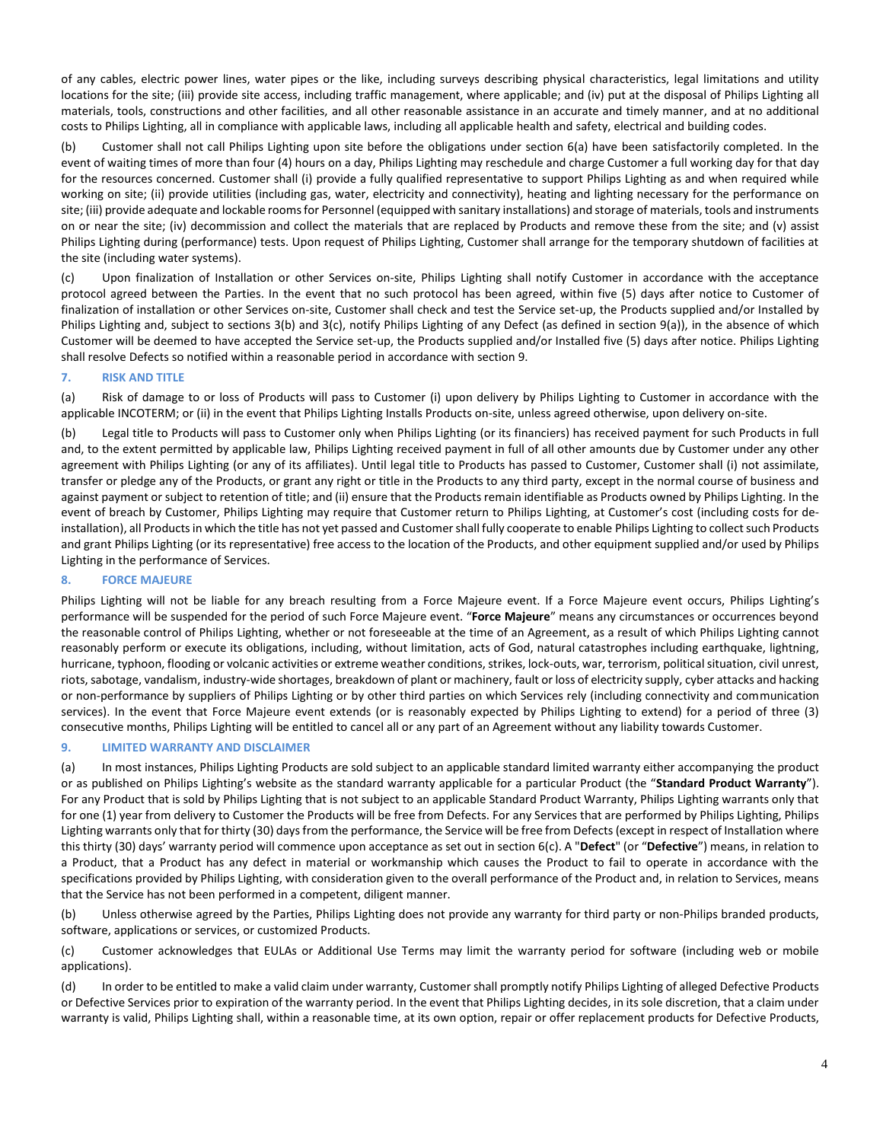of any cables, electric power lines, water pipes or the like, including surveys describing physical characteristics, legal limitations and utility locations for the site; (iii) provide site access, including traffic management, where applicable; and (iv) put at the disposal of Philips Lighting all materials, tools, constructions and other facilities, and all other reasonable assistance in an accurate and timely manner, and at no additional costs to Philips Lighting, all in compliance with applicable laws, including all applicable health and safety, electrical and building codes.

(b) Customer shall not call Philips Lighting upon site before the obligations under section 6(a) have been satisfactorily completed. In the event of waiting times of more than four (4) hours on a day, Philips Lighting may reschedule and charge Customer a full working day for that day for the resources concerned. Customer shall (i) provide a fully qualified representative to support Philips Lighting as and when required while working on site; (ii) provide utilities (including gas, water, electricity and connectivity), heating and lighting necessary for the performance on site; (iii) provide adequate and lockable rooms for Personnel (equipped with sanitary installations) and storage of materials, tools and instruments on or near the site; (iv) decommission and collect the materials that are replaced by Products and remove these from the site; and (v) assist Philips Lighting during (performance) tests. Upon request of Philips Lighting, Customer shall arrange for the temporary shutdown of facilities at the site (including water systems).

(c) Upon finalization of Installation or other Services on-site, Philips Lighting shall notify Customer in accordance with the acceptance protocol agreed between the Parties. In the event that no such protocol has been agreed, within five (5) days after notice to Customer of finalization of installation or other Services on-site, Customer shall check and test the Service set-up, the Products supplied and/or Installed by Philips Lighting and, subject to sections 3(b) and 3(c), notify Philips Lighting of any Defect (as defined in section [9](#page-3-0)[\(a\)\)](#page-3-1), in the absence of which Customer will be deemed to have accepted the Service set-up, the Products supplied and/or Installed five (5) days after notice. Philips Lighting shall resolve Defects so notified within a reasonable period in accordance with sectio[n 9.](#page-3-0)

### **7. RISK AND TITLE**

(a) Risk of damage to or loss of Products will pass to Customer (i) upon delivery by Philips Lighting to Customer in accordance with the applicable INCOTERM; or (ii) in the event that Philips Lighting Installs Products on-site, unless agreed otherwise, upon delivery on-site.

(b) Legal title to Products will pass to Customer only when Philips Lighting (or its financiers) has received payment for such Products in full and, to the extent permitted by applicable law, Philips Lighting received payment in full of all other amounts due by Customer under any other agreement with Philips Lighting (or any of its affiliates). Until legal title to Products has passed to Customer, Customer shall (i) not assimilate, transfer or pledge any of the Products, or grant any right or title in the Products to any third party, except in the normal course of business and against payment or subject to retention of title; and (ii) ensure that the Products remain identifiable as Products owned by Philips Lighting. In the event of breach by Customer, Philips Lighting may require that Customer return to Philips Lighting, at Customer's cost (including costs for deinstallation), all Products in which the title has not yet passed and Customer shall fully cooperate to enable Philips Lighting to collect such Products and grant Philips Lighting (or its representative) free access to the location of the Products, and other equipment supplied and/or used by Philips Lighting in the performance of Services.

# **8. FORCE MAJEURE**

Philips Lighting will not be liable for any breach resulting from a Force Majeure event. If a Force Majeure event occurs, Philips Lighting's performance will be suspended for the period of such Force Majeure event. "**Force Majeure**" means any circumstances or occurrences beyond the reasonable control of Philips Lighting, whether or not foreseeable at the time of an Agreement, as a result of which Philips Lighting cannot reasonably perform or execute its obligations, including, without limitation, acts of God, natural catastrophes including earthquake, lightning, hurricane, typhoon, flooding or volcanic activities or extreme weather conditions, strikes, lock-outs, war, terrorism, political situation, civil unrest, riots, sabotage, vandalism, industry-wide shortages, breakdown of plant or machinery, fault or loss of electricity supply, cyber attacks and hacking or non-performance by suppliers of Philips Lighting or by other third parties on which Services rely (including connectivity and communication services). In the event that Force Majeure event extends (or is reasonably expected by Philips Lighting to extend) for a period of three (3) consecutive months, Philips Lighting will be entitled to cancel all or any part of an Agreement without any liability towards Customer.

## <span id="page-3-0"></span>**9. LIMITED WARRANTY AND DISCLAIMER**

<span id="page-3-1"></span>(a) In most instances, Philips Lighting Products are sold subject to an applicable standard limited warranty either accompanying the product or as published on Philips Lighting's website as the standard warranty applicable for a particular Product (the "**Standard Product Warranty**"). For any Product that is sold by Philips Lighting that is not subject to an applicable Standard Product Warranty, Philips Lighting warrants only that for one (1) year from delivery to Customer the Products will be free from Defects. For any Services that are performed by Philips Lighting, Philips Lighting warrants only that for thirty (30) days from the performance, the Service will be free from Defects(except in respect of Installation where this thirty (30) days' warranty period will commence upon acceptance as set out in section 6(c). A "**Defect**" (or "**Defective**") means, in relation to a Product, that a Product has any defect in material or workmanship which causes the Product to fail to operate in accordance with the specifications provided by Philips Lighting, with consideration given to the overall performance of the Product and, in relation to Services, means that the Service has not been performed in a competent, diligent manner.

(b) Unless otherwise agreed by the Parties, Philips Lighting does not provide any warranty for third party or non-Philips branded products, software, applications or services, or customized Products.

(c) Customer acknowledges that EULAs or Additional Use Terms may limit the warranty period for software (including web or mobile applications).

(d) In order to be entitled to make a valid claim under warranty, Customer shall promptly notify Philips Lighting of alleged Defective Products or Defective Services prior to expiration of the warranty period. In the event that Philips Lighting decides, in its sole discretion, that a claim under warranty is valid, Philips Lighting shall, within a reasonable time, at its own option, repair or offer replacement products for Defective Products,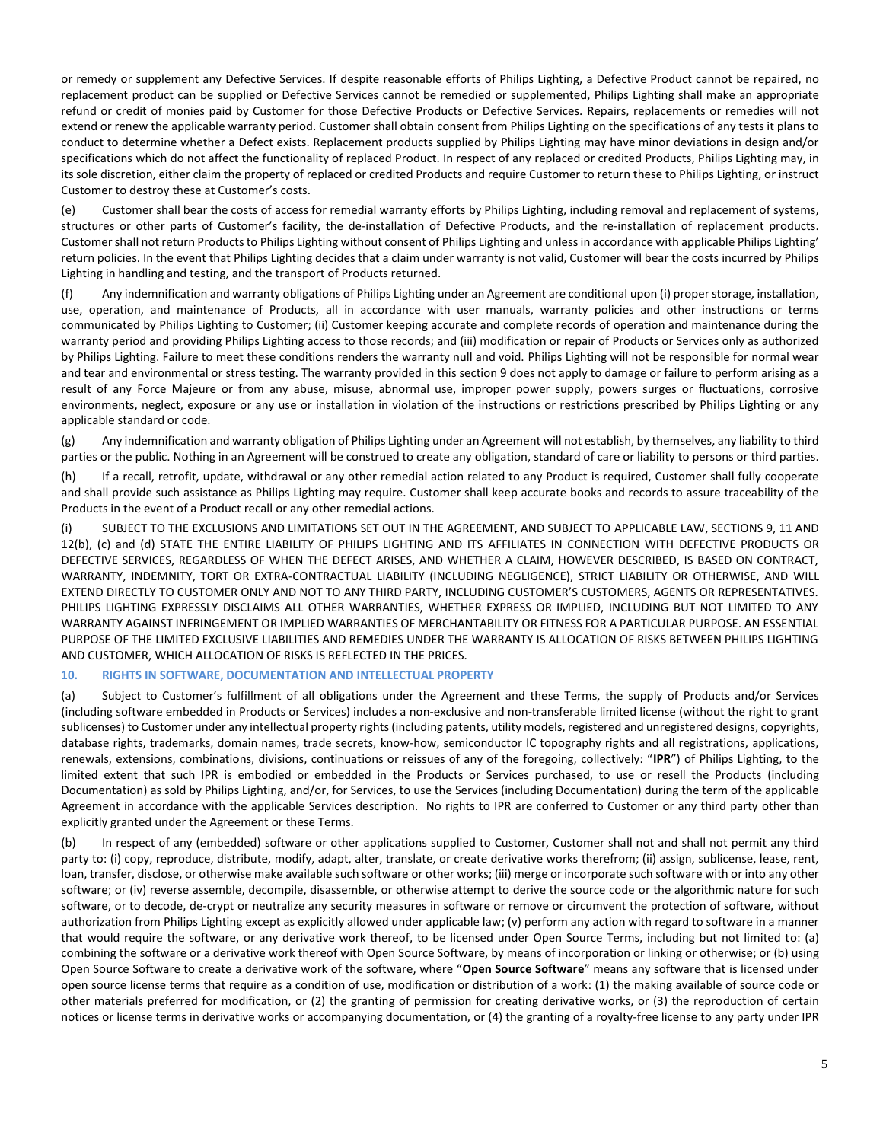or remedy or supplement any Defective Services. If despite reasonable efforts of Philips Lighting, a Defective Product cannot be repaired, no replacement product can be supplied or Defective Services cannot be remedied or supplemented, Philips Lighting shall make an appropriate refund or credit of monies paid by Customer for those Defective Products or Defective Services. Repairs, replacements or remedies will not extend or renew the applicable warranty period. Customer shall obtain consent from Philips Lighting on the specifications of any tests it plans to conduct to determine whether a Defect exists. Replacement products supplied by Philips Lighting may have minor deviations in design and/or specifications which do not affect the functionality of replaced Product. In respect of any replaced or credited Products, Philips Lighting may, in its sole discretion, either claim the property of replaced or credited Products and require Customer to return these to Philips Lighting, or instruct Customer to destroy these at Customer's costs.

(e) Customer shall bear the costs of access for remedial warranty efforts by Philips Lighting, including removal and replacement of systems, structures or other parts of Customer's facility, the de-installation of Defective Products, and the re-installation of replacement products. Customer shall not return Products to Philips Lighting without consent of Philips Lighting and unless in accordance with applicable Philips Lighting' return policies. In the event that Philips Lighting decides that a claim under warranty is not valid, Customer will bear the costs incurred by Philips Lighting in handling and testing, and the transport of Products returned.

(f) Any indemnification and warranty obligations of Philips Lighting under an Agreement are conditional upon (i) proper storage, installation, use, operation, and maintenance of Products, all in accordance with user manuals, warranty policies and other instructions or terms communicated by Philips Lighting to Customer; (ii) Customer keeping accurate and complete records of operation and maintenance during the warranty period and providing Philips Lighting access to those records; and (iii) modification or repair of Products or Services only as authorized by Philips Lighting. Failure to meet these conditions renders the warranty null and void. Philips Lighting will not be responsible for normal wear and tear and environmental or stress testing. The warranty provided in this section 9 does not apply to damage or failure to perform arising as a result of any Force Majeure or from any abuse, misuse, abnormal use, improper power supply, powers surges or fluctuations, corrosive environments, neglect, exposure or any use or installation in violation of the instructions or restrictions prescribed by Philips Lighting or any applicable standard or code.

(g) Any indemnification and warranty obligation of Philips Lighting under an Agreement will not establish, by themselves, any liability to third parties or the public. Nothing in an Agreement will be construed to create any obligation, standard of care or liability to persons or third parties.

(h) If a recall, retrofit, update, withdrawal or any other remedial action related to any Product is required, Customer shall fully cooperate and shall provide such assistance as Philips Lighting may require. Customer shall keep accurate books and records to assure traceability of the Products in the event of a Product recall or any other remedial actions.

(i) SUBJECT TO THE EXCLUSIONS AND LIMITATIONS SET OUT IN THE AGREEMENT, AND SUBJECT TO APPLICABLE LAW, SECTION[S 9,](#page-3-0) 11 AND [12\(](#page-5-0)b), (c) and (d) STATE THE ENTIRE LIABILITY OF PHILIPS LIGHTING AND ITS AFFILIATES IN CONNECTION WITH DEFECTIVE PRODUCTS OR DEFECTIVE SERVICES, REGARDLESS OF WHEN THE DEFECT ARISES, AND WHETHER A CLAIM, HOWEVER DESCRIBED, IS BASED ON CONTRACT, WARRANTY, INDEMNITY, TORT OR EXTRA-CONTRACTUAL LIABILITY (INCLUDING NEGLIGENCE), STRICT LIABILITY OR OTHERWISE, AND WILL EXTEND DIRECTLY TO CUSTOMER ONLY AND NOT TO ANY THIRD PARTY, INCLUDING CUSTOMER'S CUSTOMERS, AGENTS OR REPRESENTATIVES. PHILIPS LIGHTING EXPRESSLY DISCLAIMS ALL OTHER WARRANTIES, WHETHER EXPRESS OR IMPLIED, INCLUDING BUT NOT LIMITED TO ANY WARRANTY AGAINST INFRINGEMENT OR IMPLIED WARRANTIES OF MERCHANTABILITY OR FITNESS FOR A PARTICULAR PURPOSE. AN ESSENTIAL PURPOSE OF THE LIMITED EXCLUSIVE LIABILITIES AND REMEDIES UNDER THE WARRANTY IS ALLOCATION OF RISKS BETWEEN PHILIPS LIGHTING AND CUSTOMER, WHICH ALLOCATION OF RISKS IS REFLECTED IN THE PRICES.

### <span id="page-4-0"></span>**10. RIGHTS IN SOFTWARE, DOCUMENTATION AND INTELLECTUAL PROPERTY**

<span id="page-4-1"></span>(a) Subject to Customer's fulfillment of all obligations under the Agreement and these Terms, the supply of Products and/or Services (including software embedded in Products or Services) includes a non-exclusive and non-transferable limited license (without the right to grant sublicenses) to Customer under any intellectual property rights (including patents, utility models, registered and unregistered designs, copyrights, database rights, trademarks, domain names, trade secrets, know-how, semiconductor IC topography rights and all registrations, applications, renewals, extensions, combinations, divisions, continuations or reissues of any of the foregoing, collectively: "**IPR**") of Philips Lighting, to the limited extent that such IPR is embodied or embedded in the Products or Services purchased, to use or resell the Products (including Documentation) as sold by Philips Lighting, and/or, for Services, to use the Services (including Documentation) during the term of the applicable Agreement in accordance with the applicable Services description. No rights to IPR are conferred to Customer or any third party other than explicitly granted under the Agreement or these Terms.

(b) In respect of any (embedded) software or other applications supplied to Customer, Customer shall not and shall not permit any third party to: (i) copy, reproduce, distribute, modify, adapt, alter, translate, or create derivative works therefrom; (ii) assign, sublicense, lease, rent, loan, transfer, disclose, or otherwise make available such software or other works; (iii) merge or incorporate such software with or into any other software; or (iv) reverse assemble, decompile, disassemble, or otherwise attempt to derive the source code or the algorithmic nature for such software, or to decode, de-crypt or neutralize any security measures in software or remove or circumvent the protection of software, without authorization from Philips Lighting except as explicitly allowed under applicable law; (v) perform any action with regard to software in a manner that would require the software, or any derivative work thereof, to be licensed under Open Source Terms, including but not limited to: (a) combining the software or a derivative work thereof with Open Source Software, by means of incorporation or linking or otherwise; or (b) using Open Source Software to create a derivative work of the software, where "**Open Source Software**" means any software that is licensed under open source license terms that require as a condition of use, modification or distribution of a work: (1) the making available of source code or other materials preferred for modification, or (2) the granting of permission for creating derivative works, or (3) the reproduction of certain notices or license terms in derivative works or accompanying documentation, or (4) the granting of a royalty-free license to any party under IPR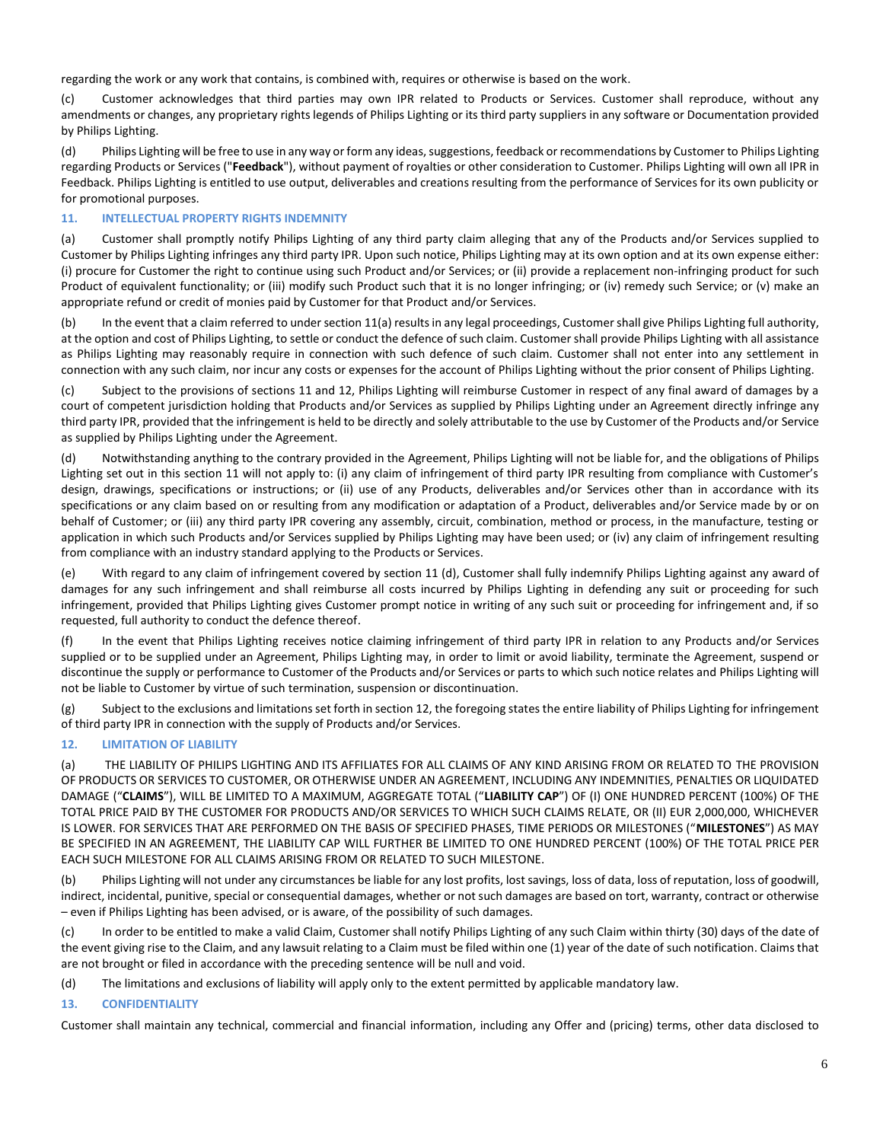regarding the work or any work that contains, is combined with, requires or otherwise is based on the work.

(c) Customer acknowledges that third parties may own IPR related to Products or Services. Customer shall reproduce, without any amendments or changes, any proprietary rights legends of Philips Lighting or its third party suppliers in any software or Documentation provided by Philips Lighting.

(d) Philips Lighting will be free to use in any way or form any ideas, suggestions, feedback or recommendations by Customer to Philips Lighting regarding Products or Services ("**Feedback**"), without payment of royalties or other consideration to Customer. Philips Lighting will own all IPR in Feedback. Philips Lighting is entitled to use output, deliverables and creations resulting from the performance of Services for its own publicity or for promotional purposes.

## <span id="page-5-1"></span>**11. INTELLECTUAL PROPERTY RIGHTS INDEMNITY**

<span id="page-5-2"></span>(a) Customer shall promptly notify Philips Lighting of any third party claim alleging that any of the Products and/or Services supplied to Customer by Philips Lighting infringes any third party IPR. Upon such notice, Philips Lighting may at its own option and at its own expense either: (i) procure for Customer the right to continue using such Product and/or Services; or (ii) provide a replacement non-infringing product for such Product of equivalent functionality; or (iii) modify such Product such that it is no longer infringing; or (iv) remedy such Service; or (v) make an appropriate refund or credit of monies paid by Customer for that Product and/or Services.

(b) In the event that a claim referred to under sectio[n 11](#page-5-1)[\(a\)](#page-5-2) results in any legal proceedings, Customer shall give Philips Lighting full authority, at the option and cost of Philips Lighting, to settle or conduct the defence of such claim. Customer shall provide Philips Lighting with all assistance as Philips Lighting may reasonably require in connection with such defence of such claim. Customer shall not enter into any settlement in connection with any such claim, nor incur any costs or expenses for the account of Philips Lighting without the prior consent of Philips Lighting.

(c) Subject to the provisions of sections [11](#page-5-1) and [12,](#page-5-0) Philips Lighting will reimburse Customer in respect of any final award of damages by a court of competent jurisdiction holding that Products and/or Services as supplied by Philips Lighting under an Agreement directly infringe any third party IPR, provided that the infringement is held to be directly and solely attributable to the use by Customer of the Products and/or Service as supplied by Philips Lighting under the Agreement.

(d) Notwithstanding anything to the contrary provided in the Agreement, Philips Lighting will not be liable for, and the obligations of Philips Lighting set out in this section [11](#page-5-1) will not apply to: (i) any claim of infringement of third party IPR resulting from compliance with Customer's design, drawings, specifications or instructions; or (ii) use of any Products, deliverables and/or Services other than in accordance with its specifications or any claim based on or resulting from any modification or adaptation of a Product, deliverables and/or Service made by or on behalf of Customer; or (iii) any third party IPR covering any assembly, circuit, combination, method or process, in the manufacture, testing or application in which such Products and/or Services supplied by Philips Lighting may have been used; or (iv) any claim of infringement resulting from compliance with an industry standard applying to the Products or Services.

(e) With regard to any claim of infringement covered by section 11 (d), Customer shall fully indemnify Philips Lighting against any award of damages for any such infringement and shall reimburse all costs incurred by Philips Lighting in defending any suit or proceeding for such infringement, provided that Philips Lighting gives Customer prompt notice in writing of any such suit or proceeding for infringement and, if so requested, full authority to conduct the defence thereof.

(f) In the event that Philips Lighting receives notice claiming infringement of third party IPR in relation to any Products and/or Services supplied or to be supplied under an Agreement, Philips Lighting may, in order to limit or avoid liability, terminate the Agreement, suspend or discontinue the supply or performance to Customer of the Products and/or Services or parts to which such notice relates and Philips Lighting will not be liable to Customer by virtue of such termination, suspension or discontinuation.

(g) Subject to the exclusions and limitations set forth in sectio[n 12,](#page-5-0) the foregoing states the entire liability of Philips Lighting for infringement of third party IPR in connection with the supply of Products and/or Services.

# <span id="page-5-0"></span>**12. LIMITATION OF LIABILITY**

(a) THE LIABILITY OF PHILIPS LIGHTING AND ITS AFFILIATES FOR ALL CLAIMS OF ANY KIND ARISING FROM OR RELATED TO THE PROVISION OF PRODUCTS OR SERVICES TO CUSTOMER, OR OTHERWISE UNDER AN AGREEMENT, INCLUDING ANY INDEMNITIES, PENALTIES OR LIQUIDATED DAMAGE ("**CLAIMS**"), WILL BE LIMITED TO A MAXIMUM, AGGREGATE TOTAL ("**LIABILITY CAP**") OF (I) ONE HUNDRED PERCENT (100%) OF THE TOTAL PRICE PAID BY THE CUSTOMER FOR PRODUCTS AND/OR SERVICES TO WHICH SUCH CLAIMS RELATE, OR (II) EUR 2,000,000, WHICHEVER IS LOWER. FOR SERVICES THAT ARE PERFORMED ON THE BASIS OF SPECIFIED PHASES, TIME PERIODS OR MILESTONES ("**MILESTONES**") AS MAY BE SPECIFIED IN AN AGREEMENT, THE LIABILITY CAP WILL FURTHER BE LIMITED TO ONE HUNDRED PERCENT (100%) OF THE TOTAL PRICE PER EACH SUCH MILESTONE FOR ALL CLAIMS ARISING FROM OR RELATED TO SUCH MILESTONE.

(b) Philips Lighting will not under any circumstances be liable for any lost profits, lost savings, loss of data, loss of reputation, loss of goodwill, indirect, incidental, punitive, special or consequential damages, whether or not such damages are based on tort, warranty, contract or otherwise – even if Philips Lighting has been advised, or is aware, of the possibility of such damages.

(c) In order to be entitled to make a valid Claim, Customer shall notify Philips Lighting of any such Claim within thirty (30) days of the date of the event giving rise to the Claim, and any lawsuit relating to a Claim must be filed within one (1) year of the date of such notification. Claims that are not brought or filed in accordance with the preceding sentence will be null and void.

(d) The limitations and exclusions of liability will apply only to the extent permitted by applicable mandatory law.

## **13. CONFIDENTIALITY**

Customer shall maintain any technical, commercial and financial information, including any Offer and (pricing) terms, other data disclosed to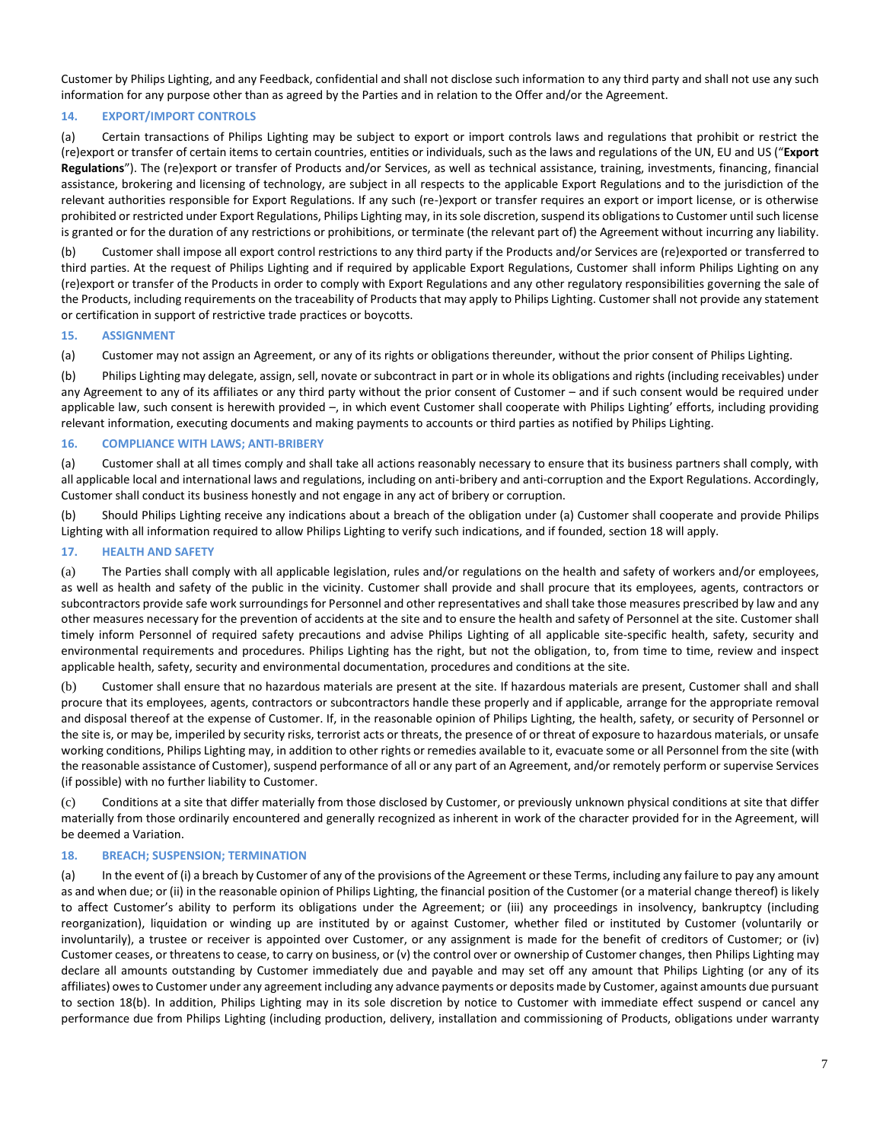Customer by Philips Lighting, and any Feedback, confidential and shall not disclose such information to any third party and shall not use any such information for any purpose other than as agreed by the Parties and in relation to the Offer and/or the Agreement.

# **14. EXPORT/IMPORT CONTROLS**

(a) Certain transactions of Philips Lighting may be subject to export or import controls laws and regulations that prohibit or restrict the (re)export or transfer of certain items to certain countries, entities or individuals, such as the laws and regulations of the UN, EU and US ("**Export Regulations**"). The (re)export or transfer of Products and/or Services, as well as technical assistance, training, investments, financing, financial assistance, brokering and licensing of technology, are subject in all respects to the applicable Export Regulations and to the jurisdiction of the relevant authorities responsible for Export Regulations. If any such (re-)export or transfer requires an export or import license, or is otherwise prohibited or restricted under Export Regulations, Philips Lighting may, in its sole discretion, suspend its obligations to Customer until such license is granted or for the duration of any restrictions or prohibitions, or terminate (the relevant part of) the Agreement without incurring any liability.

(b) Customer shall impose all export control restrictions to any third party if the Products and/or Services are (re)exported or transferred to third parties. At the request of Philips Lighting and if required by applicable Export Regulations, Customer shall inform Philips Lighting on any (re)export or transfer of the Products in order to comply with Export Regulations and any other regulatory responsibilities governing the sale of the Products, including requirements on the traceability of Products that may apply to Philips Lighting. Customer shall not provide any statement or certification in support of restrictive trade practices or boycotts.

### **15. ASSIGNMENT**

(a) Customer may not assign an Agreement, or any of its rights or obligations thereunder, without the prior consent of Philips Lighting.

(b) Philips Lighting may delegate, assign, sell, novate or subcontract in part or in whole its obligations and rights (including receivables) under any Agreement to any of its affiliates or any third party without the prior consent of Customer – and if such consent would be required under applicable law, such consent is herewith provided –, in which event Customer shall cooperate with Philips Lighting' efforts, including providing relevant information, executing documents and making payments to accounts or third parties as notified by Philips Lighting.

## **16. COMPLIANCE WITH LAWS; ANTI-BRIBERY**

(a) Customer shall at all times comply and shall take all actions reasonably necessary to ensure that its business partners shall comply, with all applicable local and international laws and regulations, including on anti-bribery and anti-corruption and the Export Regulations. Accordingly, Customer shall conduct its business honestly and not engage in any act of bribery or corruption.

(b) Should Philips Lighting receive any indications about a breach of the obligation under (a) Customer shall cooperate and provide Philips Lighting with all information required to allow Philips Lighting to verify such indications, and if founded, section 18 will apply.

### **17. HEALTH AND SAFETY**

(a) The Parties shall comply with all applicable legislation, rules and/or regulations on the health and safety of workers and/or employees, as well as health and safety of the public in the vicinity. Customer shall provide and shall procure that its employees, agents, contractors or subcontractors provide safe work surroundings for Personnel and other representatives and shall take those measures prescribed by law and any other measures necessary for the prevention of accidents at the site and to ensure the health and safety of Personnel at the site. Customer shall timely inform Personnel of required safety precautions and advise Philips Lighting of all applicable site-specific health, safety, security and environmental requirements and procedures. Philips Lighting has the right, but not the obligation, to, from time to time, review and inspect applicable health, safety, security and environmental documentation, procedures and conditions at the site.

(b) Customer shall ensure that no hazardous materials are present at the site. If hazardous materials are present, Customer shall and shall procure that its employees, agents, contractors or subcontractors handle these properly and if applicable, arrange for the appropriate removal and disposal thereof at the expense of Customer. If, in the reasonable opinion of Philips Lighting, the health, safety, or security of Personnel or the site is, or may be, imperiled by security risks, terrorist acts or threats, the presence of or threat of exposure to hazardous materials, or unsafe working conditions, Philips Lighting may, in addition to other rights or remedies available to it, evacuate some or all Personnel from the site (with the reasonable assistance of Customer), suspend performance of all or any part of an Agreement, and/or remotely perform or supervise Services (if possible) with no further liability to Customer.

(c) Conditions at a site that differ materially from those disclosed by Customer, or previously unknown physical conditions at site that differ materially from those ordinarily encountered and generally recognized as inherent in work of the character provided for in the Agreement, will be deemed a Variation.

## **18. BREACH; SUSPENSION; TERMINATION**

(a) In the event of (i) a breach by Customer of any of the provisions of the Agreement or these Terms, including any failure to pay any amount as and when due; or (ii) in the reasonable opinion of Philips Lighting, the financial position of the Customer (or a material change thereof) is likely to affect Customer's ability to perform its obligations under the Agreement; or (iii) any proceedings in insolvency, bankruptcy (including reorganization), liquidation or winding up are instituted by or against Customer, whether filed or instituted by Customer (voluntarily or involuntarily), a trustee or receiver is appointed over Customer, or any assignment is made for the benefit of creditors of Customer; or (iv) Customer ceases, or threatens to cease, to carry on business, or (v) the control over or ownership of Customer changes, then Philips Lighting may declare all amounts outstanding by Customer immediately due and payable and may set off any amount that Philips Lighting (or any of its affiliates) owes to Customer under any agreement including any advance payments or deposits made by Customer, against amounts due pursuant to section 18(b). In addition, Philips Lighting may in its sole discretion by notice to Customer with immediate effect suspend or cancel any performance due from Philips Lighting (including production, delivery, installation and commissioning of Products, obligations under warranty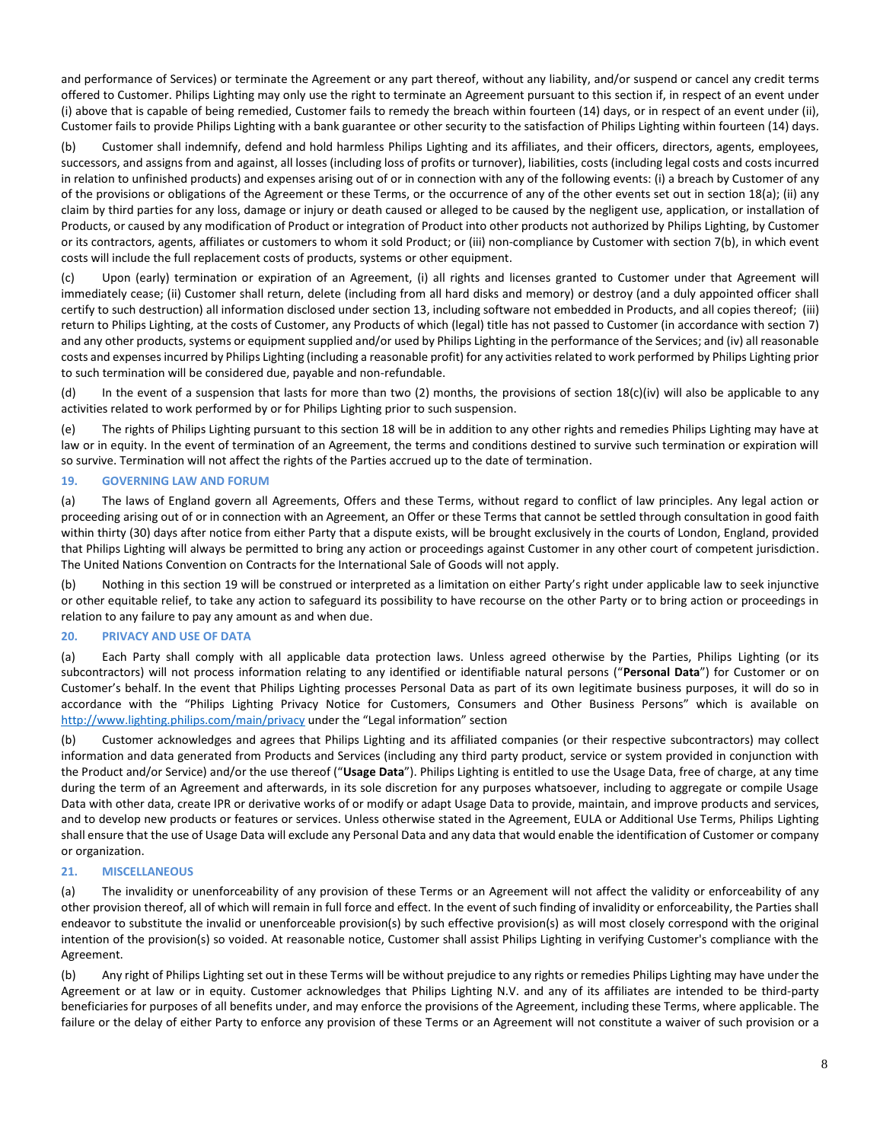and performance of Services) or terminate the Agreement or any part thereof, without any liability, and/or suspend or cancel any credit terms offered to Customer. Philips Lighting may only use the right to terminate an Agreement pursuant to this section if, in respect of an event under (i) above that is capable of being remedied, Customer fails to remedy the breach within fourteen (14) days, or in respect of an event under (ii), Customer fails to provide Philips Lighting with a bank guarantee or other security to the satisfaction of Philips Lighting within fourteen (14) days.

(b) Customer shall indemnify, defend and hold harmless Philips Lighting and its affiliates, and their officers, directors, agents, employees, successors, and assigns from and against, all losses (including loss of profits or turnover), liabilities, costs (including legal costs and costs incurred in relation to unfinished products) and expenses arising out of or in connection with any of the following events: (i) a breach by Customer of any of the provisions or obligations of the Agreement or these Terms, or the occurrence of any of the other events set out in section 18(a); (ii) any claim by third parties for any loss, damage or injury or death caused or alleged to be caused by the negligent use, application, or installation of Products, or caused by any modification of Product or integration of Product into other products not authorized by Philips Lighting, by Customer or its contractors, agents, affiliates or customers to whom it sold Product; or (iii) non-compliance by Customer with section 7(b), in which event costs will include the full replacement costs of products, systems or other equipment.

(c) Upon (early) termination or expiration of an Agreement, (i) all rights and licenses granted to Customer under that Agreement will immediately cease; (ii) Customer shall return, delete (including from all hard disks and memory) or destroy (and a duly appointed officer shall certify to such destruction) all information disclosed under section 13, including software not embedded in Products, and all copies thereof; (iii) return to Philips Lighting, at the costs of Customer, any Products of which (legal) title has not passed to Customer (in accordance with section 7) and any other products, systems or equipment supplied and/or used by Philips Lighting in the performance of the Services; and (iv) all reasonable costs and expenses incurred by Philips Lighting (including a reasonable profit) for any activities related to work performed by Philips Lighting prior to such termination will be considered due, payable and non-refundable.

(d) In the event of a suspension that lasts for more than two (2) months, the provisions of section 18(c)(iv) will also be applicable to any activities related to work performed by or for Philips Lighting prior to such suspension.

(e) The rights of Philips Lighting pursuant to this section 18 will be in addition to any other rights and remedies Philips Lighting may have at law or in equity. In the event of termination of an Agreement, the terms and conditions destined to survive such termination or expiration will so survive. Termination will not affect the rights of the Parties accrued up to the date of termination.

## **19. GOVERNING LAW AND FORUM**

(a) The laws of England govern all Agreements, Offers and these Terms, without regard to conflict of law principles. Any legal action or proceeding arising out of or in connection with an Agreement, an Offer or these Terms that cannot be settled through consultation in good faith within thirty (30) days after notice from either Party that a dispute exists, will be brought exclusively in the courts of London, England, provided that Philips Lighting will always be permitted to bring any action or proceedings against Customer in any other court of competent jurisdiction. The United Nations Convention on Contracts for the International Sale of Goods will not apply.

(b) Nothing in this section 19 will be construed or interpreted as a limitation on either Party's right under applicable law to seek injunctive or other equitable relief, to take any action to safeguard its possibility to have recourse on the other Party or to bring action or proceedings in relation to any failure to pay any amount as and when due.

## **20. PRIVACY AND USE OF DATA**

(a) Each Party shall comply with all applicable data protection laws. Unless agreed otherwise by the Parties, Philips Lighting (or its subcontractors) will not process information relating to any identified or identifiable natural persons ("**Personal Data**") for Customer or on Customer's behalf. In the event that Philips Lighting processes Personal Data as part of its own legitimate business purposes, it will do so in accordance with the "Philips Lighting Privacy Notice for Customers, Consumers and Other Business Persons" which is available on <http://www.lighting.philips.com/main/privacy> under the "Legal information" section

(b) Customer acknowledges and agrees that Philips Lighting and its affiliated companies (or their respective subcontractors) may collect information and data generated from Products and Services (including any third party product, service or system provided in conjunction with the Product and/or Service) and/or the use thereof ("**Usage Data**"). Philips Lighting is entitled to use the Usage Data, free of charge, at any time during the term of an Agreement and afterwards, in its sole discretion for any purposes whatsoever, including to aggregate or compile Usage Data with other data, create IPR or derivative works of or modify or adapt Usage Data to provide, maintain, and improve products and services, and to develop new products or features or services. Unless otherwise stated in the Agreement, EULA or Additional Use Terms, Philips Lighting shall ensure that the use of Usage Data will exclude any Personal Data and any data that would enable the identification of Customer or company or organization.

### **21. MISCELLANEOUS**

(a) The invalidity or unenforceability of any provision of these Terms or an Agreement will not affect the validity or enforceability of any other provision thereof, all of which will remain in full force and effect. In the event of such finding of invalidity or enforceability, the Parties shall endeavor to substitute the invalid or unenforceable provision(s) by such effective provision(s) as will most closely correspond with the original intention of the provision(s) so voided. At reasonable notice, Customer shall assist Philips Lighting in verifying Customer's compliance with the Agreement.

(b) Any right of Philips Lighting set out in these Terms will be without prejudice to any rights or remedies Philips Lighting may have under the Agreement or at law or in equity. Customer acknowledges that Philips Lighting N.V. and any of its affiliates are intended to be third-party beneficiaries for purposes of all benefits under, and may enforce the provisions of the Agreement, including these Terms, where applicable. The failure or the delay of either Party to enforce any provision of these Terms or an Agreement will not constitute a waiver of such provision or a